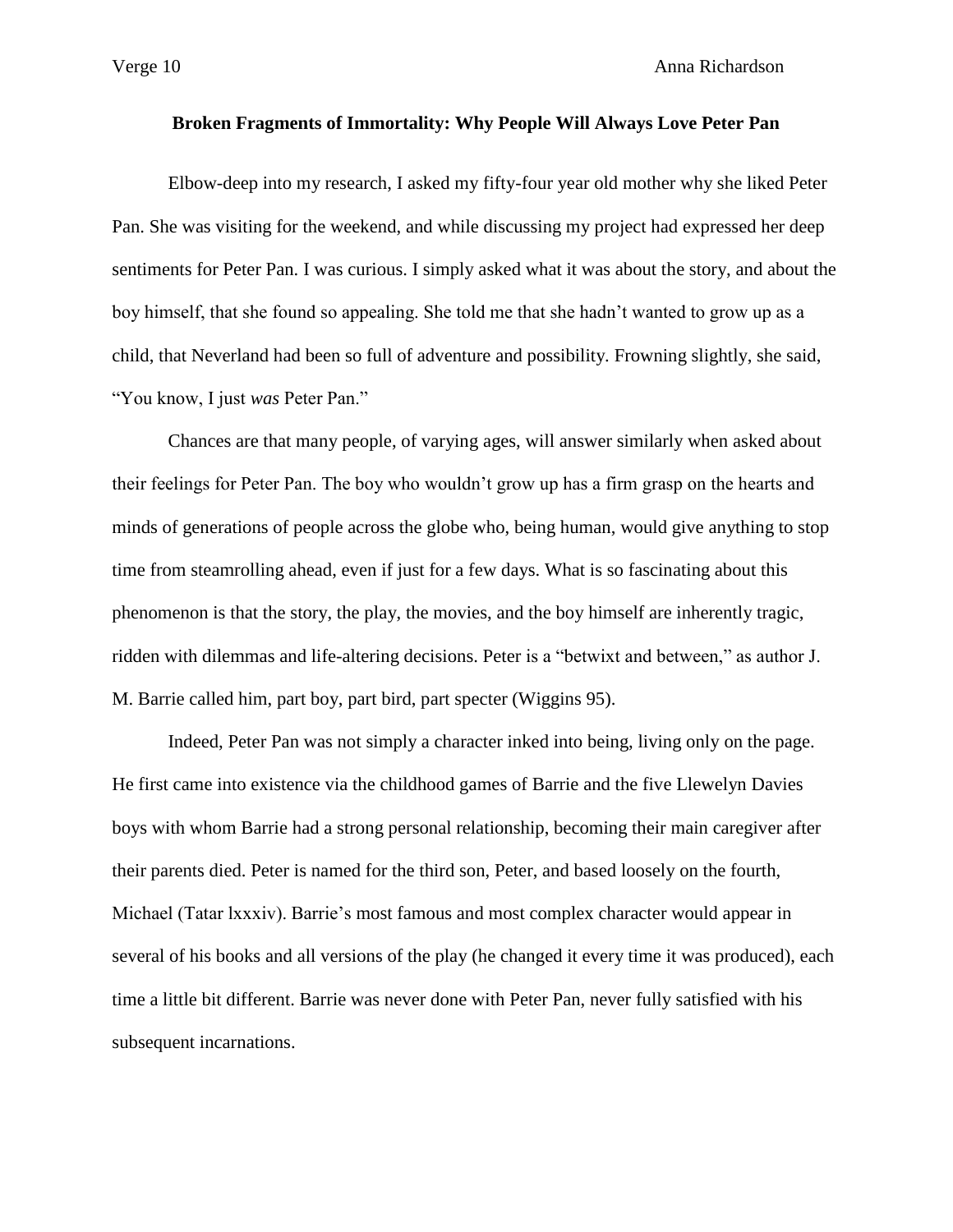## **Broken Fragments of Immortality: Why People Will Always Love Peter Pan**

Elbow-deep into my research, I asked my fifty-four year old mother why she liked Peter Pan. She was visiting for the weekend, and while discussing my project had expressed her deep sentiments for Peter Pan. I was curious. I simply asked what it was about the story, and about the boy himself, that she found so appealing. She told me that she hadn't wanted to grow up as a child, that Neverland had been so full of adventure and possibility. Frowning slightly, she said, "You know, I just *was* Peter Pan."

Chances are that many people, of varying ages, will answer similarly when asked about their feelings for Peter Pan. The boy who wouldn't grow up has a firm grasp on the hearts and minds of generations of people across the globe who, being human, would give anything to stop time from steamrolling ahead, even if just for a few days. What is so fascinating about this phenomenon is that the story, the play, the movies, and the boy himself are inherently tragic, ridden with dilemmas and life-altering decisions. Peter is a "betwixt and between," as author J. M. Barrie called him, part boy, part bird, part specter (Wiggins 95).

Indeed, Peter Pan was not simply a character inked into being, living only on the page. He first came into existence via the childhood games of Barrie and the five Llewelyn Davies boys with whom Barrie had a strong personal relationship, becoming their main caregiver after their parents died. Peter is named for the third son, Peter, and based loosely on the fourth, Michael (Tatar lxxxiv). Barrie's most famous and most complex character would appear in several of his books and all versions of the play (he changed it every time it was produced), each time a little bit different. Barrie was never done with Peter Pan, never fully satisfied with his subsequent incarnations.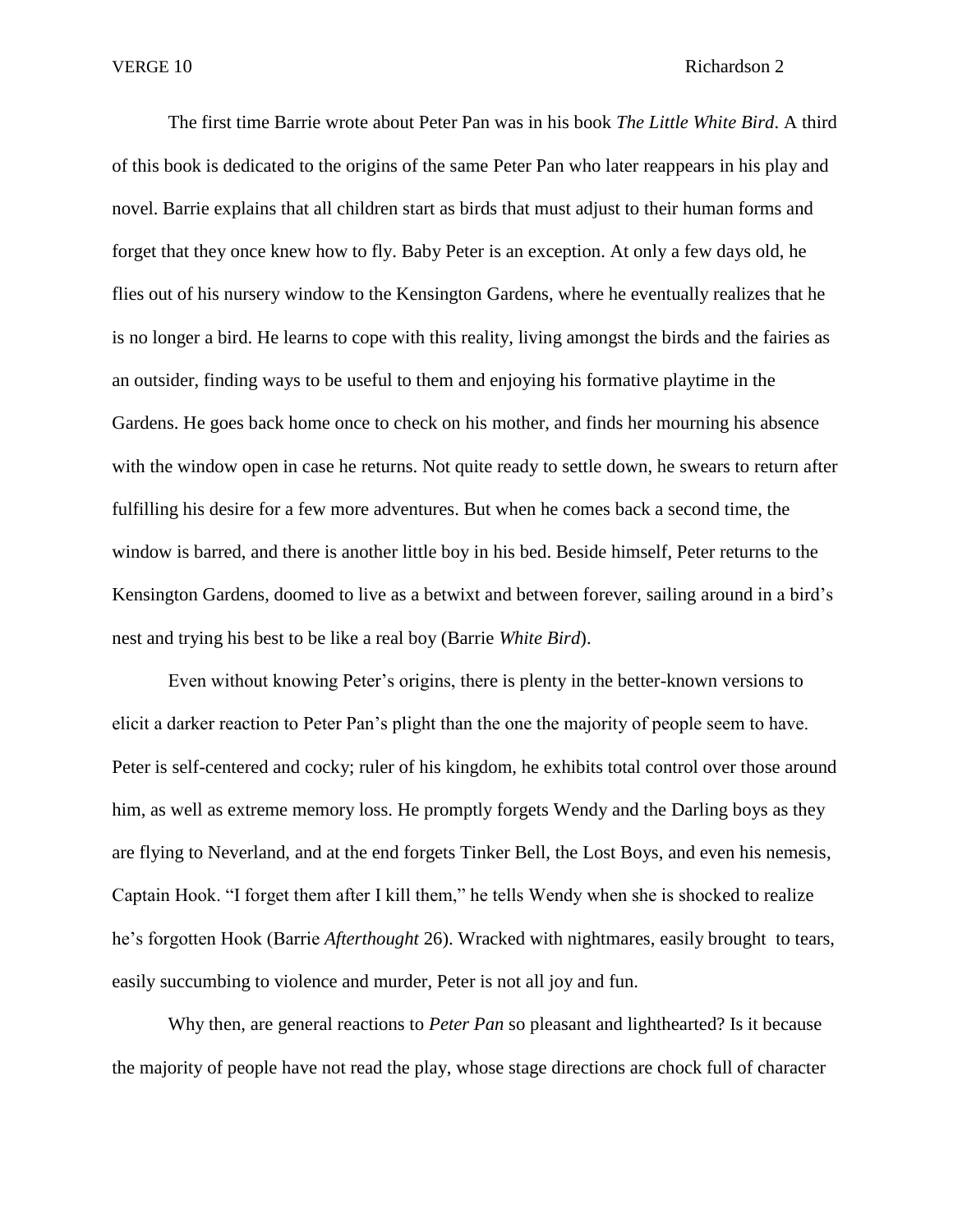The first time Barrie wrote about Peter Pan was in his book *The Little White Bird*. A third of this book is dedicated to the origins of the same Peter Pan who later reappears in his play and novel. Barrie explains that all children start as birds that must adjust to their human forms and forget that they once knew how to fly. Baby Peter is an exception. At only a few days old, he flies out of his nursery window to the Kensington Gardens, where he eventually realizes that he is no longer a bird. He learns to cope with this reality, living amongst the birds and the fairies as an outsider, finding ways to be useful to them and enjoying his formative playtime in the Gardens. He goes back home once to check on his mother, and finds her mourning his absence with the window open in case he returns. Not quite ready to settle down, he swears to return after fulfilling his desire for a few more adventures. But when he comes back a second time, the window is barred, and there is another little boy in his bed. Beside himself, Peter returns to the Kensington Gardens, doomed to live as a betwixt and between forever, sailing around in a bird's nest and trying his best to be like a real boy (Barrie *White Bird*).

Even without knowing Peter's origins, there is plenty in the better-known versions to elicit a darker reaction to Peter Pan's plight than the one the majority of people seem to have. Peter is self-centered and cocky; ruler of his kingdom, he exhibits total control over those around him, as well as extreme memory loss. He promptly forgets Wendy and the Darling boys as they are flying to Neverland, and at the end forgets Tinker Bell, the Lost Boys, and even his nemesis, Captain Hook. "I forget them after I kill them," he tells Wendy when she is shocked to realize he's forgotten Hook (Barrie *Afterthought* 26). Wracked with nightmares, easily brought to tears, easily succumbing to violence and murder, Peter is not all joy and fun.

Why then, are general reactions to *Peter Pan* so pleasant and lighthearted? Is it because the majority of people have not read the play, whose stage directions are chock full of character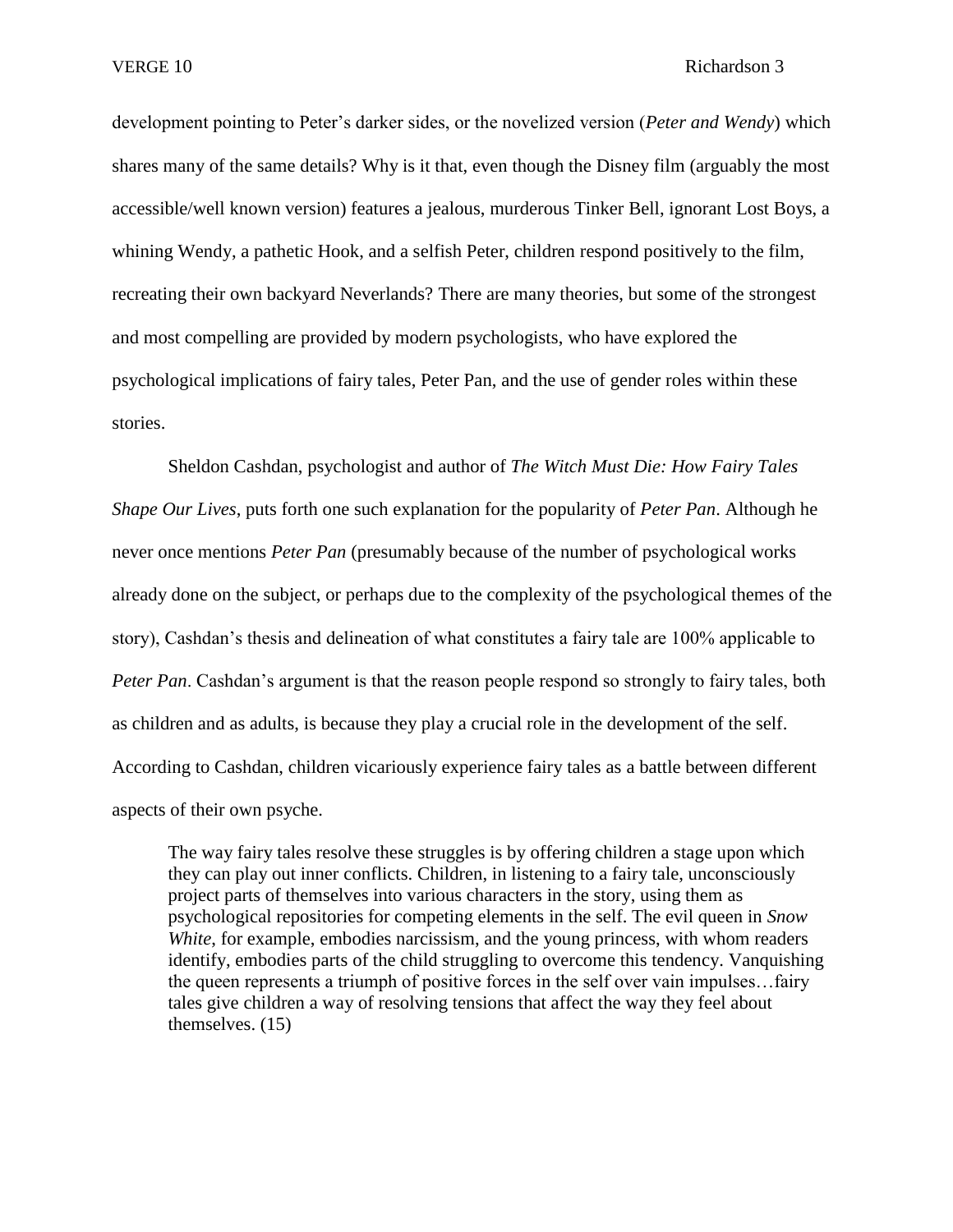development pointing to Peter's darker sides, or the novelized version (*Peter and Wendy*) which shares many of the same details? Why is it that, even though the Disney film (arguably the most accessible/well known version) features a jealous, murderous Tinker Bell, ignorant Lost Boys, a whining Wendy, a pathetic Hook, and a selfish Peter, children respond positively to the film, recreating their own backyard Neverlands? There are many theories, but some of the strongest and most compelling are provided by modern psychologists, who have explored the psychological implications of fairy tales, Peter Pan, and the use of gender roles within these stories.

Sheldon Cashdan, psychologist and author of *The Witch Must Die: How Fairy Tales Shape Our Lives*, puts forth one such explanation for the popularity of *Peter Pan*. Although he never once mentions *Peter Pan* (presumably because of the number of psychological works already done on the subject, or perhaps due to the complexity of the psychological themes of the story), Cashdan's thesis and delineation of what constitutes a fairy tale are 100% applicable to *Peter Pan*. Cashdan's argument is that the reason people respond so strongly to fairy tales, both as children and as adults, is because they play a crucial role in the development of the self. According to Cashdan, children vicariously experience fairy tales as a battle between different aspects of their own psyche.

The way fairy tales resolve these struggles is by offering children a stage upon which they can play out inner conflicts. Children, in listening to a fairy tale, unconsciously project parts of themselves into various characters in the story, using them as psychological repositories for competing elements in the self. The evil queen in *Snow White*, for example, embodies narcissism, and the young princess, with whom readers identify, embodies parts of the child struggling to overcome this tendency. Vanquishing the queen represents a triumph of positive forces in the self over vain impulses…fairy tales give children a way of resolving tensions that affect the way they feel about themselves. (15)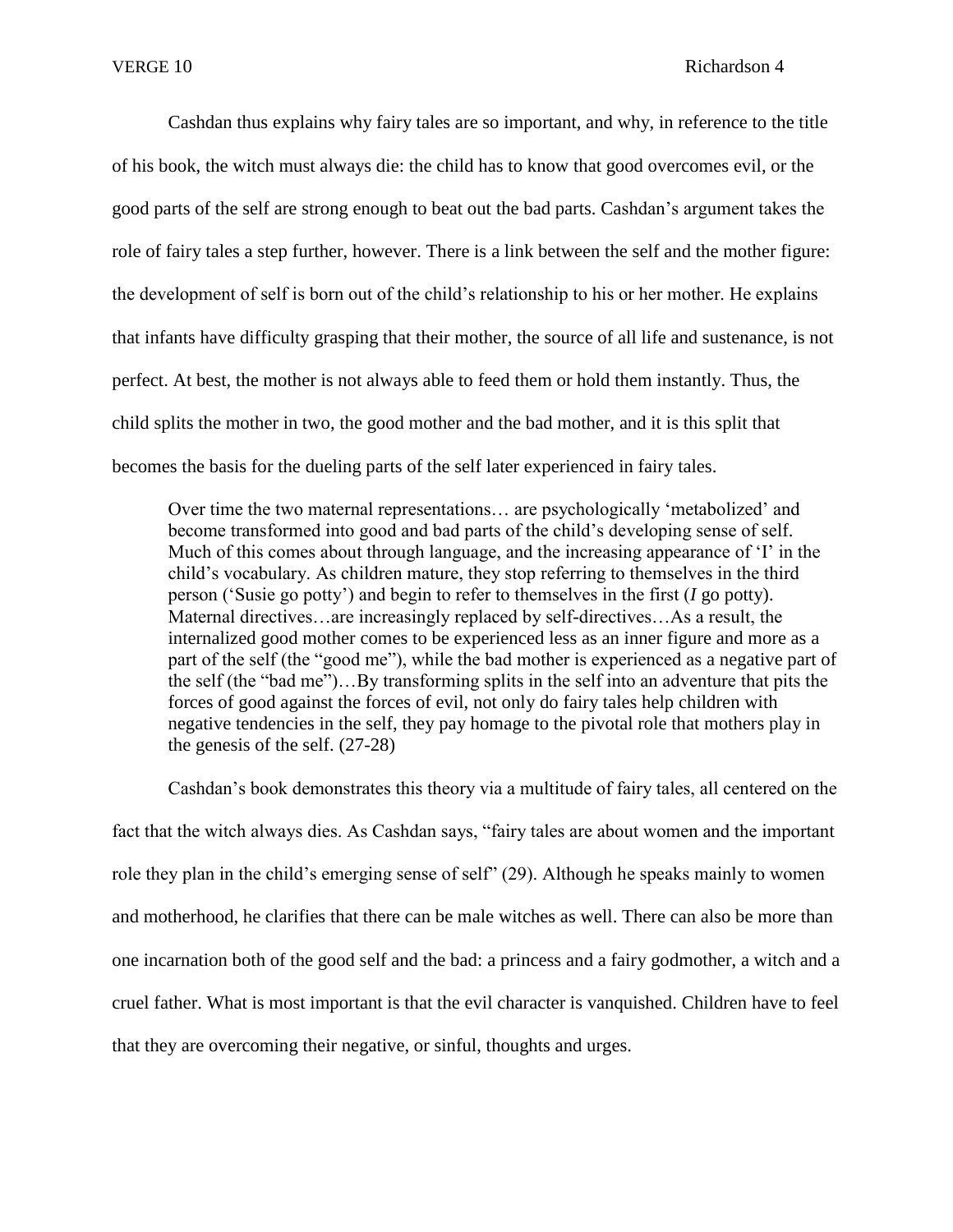Cashdan thus explains why fairy tales are so important, and why, in reference to the title of his book, the witch must always die: the child has to know that good overcomes evil, or the good parts of the self are strong enough to beat out the bad parts. Cashdan's argument takes the role of fairy tales a step further, however. There is a link between the self and the mother figure: the development of self is born out of the child's relationship to his or her mother. He explains that infants have difficulty grasping that their mother, the source of all life and sustenance, is not perfect. At best, the mother is not always able to feed them or hold them instantly. Thus, the child splits the mother in two, the good mother and the bad mother, and it is this split that becomes the basis for the dueling parts of the self later experienced in fairy tales.

Over time the two maternal representations… are psychologically 'metabolized' and become transformed into good and bad parts of the child's developing sense of self. Much of this comes about through language, and the increasing appearance of 'I' in the child's vocabulary. As children mature, they stop referring to themselves in the third person ('Susie go potty') and begin to refer to themselves in the first (*I* go potty). Maternal directives…are increasingly replaced by self-directives…As a result, the internalized good mother comes to be experienced less as an inner figure and more as a part of the self (the "good me"), while the bad mother is experienced as a negative part of the self (the "bad me")…By transforming splits in the self into an adventure that pits the forces of good against the forces of evil, not only do fairy tales help children with negative tendencies in the self, they pay homage to the pivotal role that mothers play in the genesis of the self. (27-28)

Cashdan's book demonstrates this theory via a multitude of fairy tales, all centered on the fact that the witch always dies. As Cashdan says, "fairy tales are about women and the important role they plan in the child's emerging sense of self" (29). Although he speaks mainly to women and motherhood, he clarifies that there can be male witches as well. There can also be more than one incarnation both of the good self and the bad: a princess and a fairy godmother, a witch and a cruel father. What is most important is that the evil character is vanquished. Children have to feel that they are overcoming their negative, or sinful, thoughts and urges.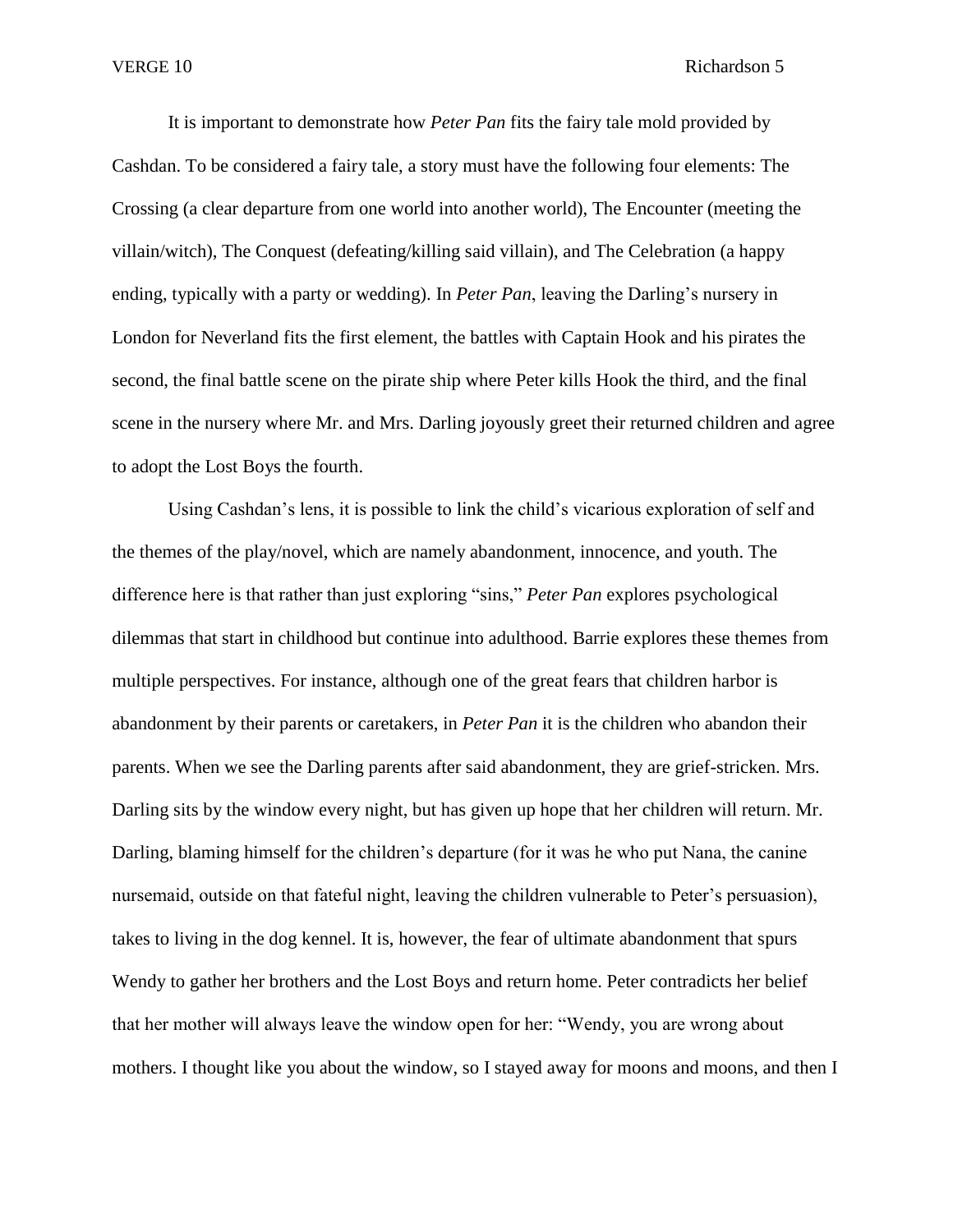It is important to demonstrate how *Peter Pan* fits the fairy tale mold provided by Cashdan. To be considered a fairy tale, a story must have the following four elements: The Crossing (a clear departure from one world into another world), The Encounter (meeting the villain/witch), The Conquest (defeating/killing said villain), and The Celebration (a happy ending, typically with a party or wedding). In *Peter Pan*, leaving the Darling's nursery in London for Neverland fits the first element, the battles with Captain Hook and his pirates the second, the final battle scene on the pirate ship where Peter kills Hook the third, and the final scene in the nursery where Mr. and Mrs. Darling joyously greet their returned children and agree to adopt the Lost Boys the fourth.

Using Cashdan's lens, it is possible to link the child's vicarious exploration of self and the themes of the play/novel, which are namely abandonment, innocence, and youth. The difference here is that rather than just exploring "sins," *Peter Pan* explores psychological dilemmas that start in childhood but continue into adulthood. Barrie explores these themes from multiple perspectives. For instance, although one of the great fears that children harbor is abandonment by their parents or caretakers, in *Peter Pan* it is the children who abandon their parents. When we see the Darling parents after said abandonment, they are grief-stricken. Mrs. Darling sits by the window every night, but has given up hope that her children will return. Mr. Darling, blaming himself for the children's departure (for it was he who put Nana, the canine nursemaid, outside on that fateful night, leaving the children vulnerable to Peter's persuasion), takes to living in the dog kennel. It is, however, the fear of ultimate abandonment that spurs Wendy to gather her brothers and the Lost Boys and return home. Peter contradicts her belief that her mother will always leave the window open for her: "Wendy, you are wrong about mothers. I thought like you about the window, so I stayed away for moons and moons, and then I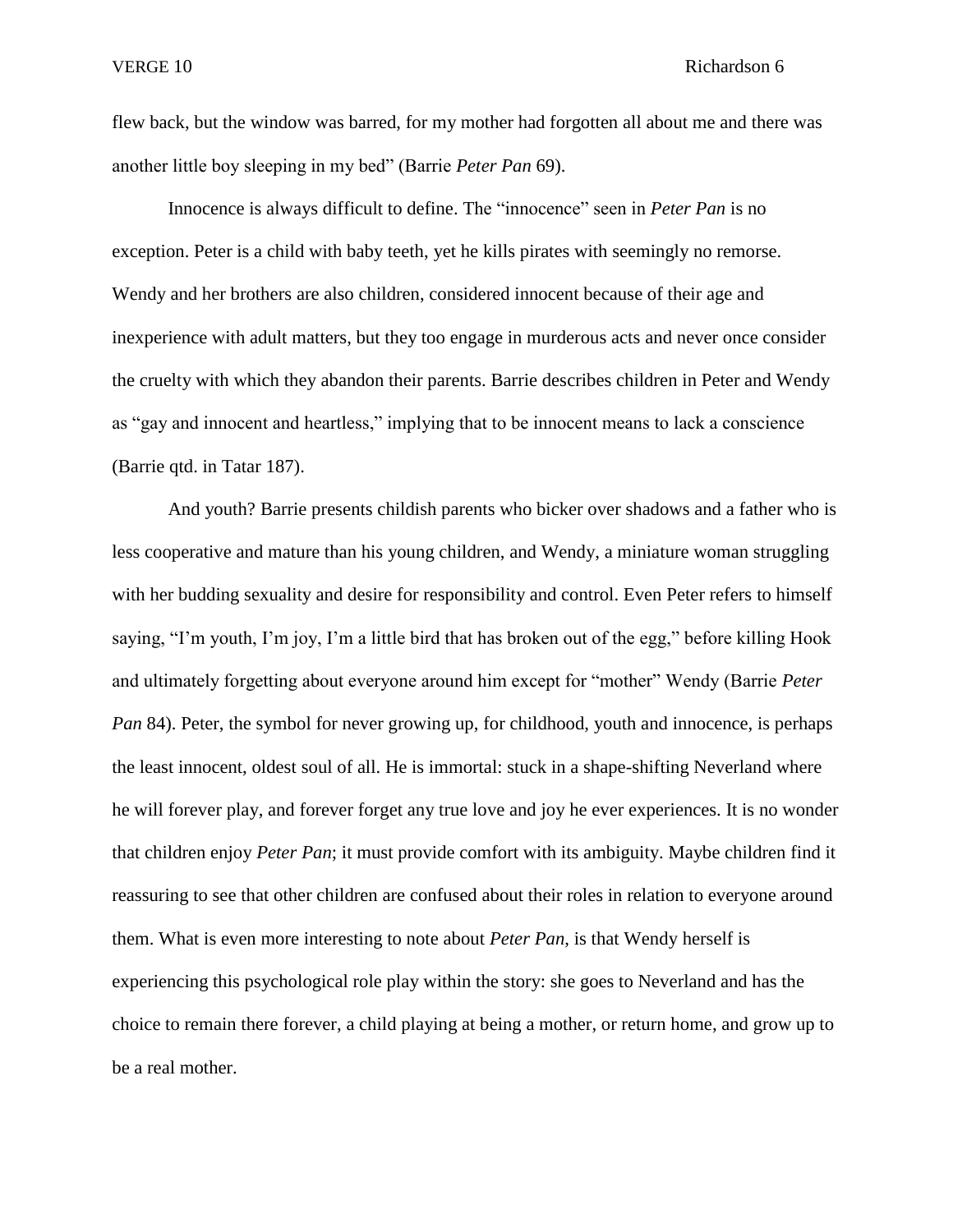flew back, but the window was barred, for my mother had forgotten all about me and there was another little boy sleeping in my bed" (Barrie *Peter Pan* 69).

Innocence is always difficult to define. The "innocence" seen in *Peter Pan* is no exception. Peter is a child with baby teeth, yet he kills pirates with seemingly no remorse. Wendy and her brothers are also children, considered innocent because of their age and inexperience with adult matters, but they too engage in murderous acts and never once consider the cruelty with which they abandon their parents. Barrie describes children in Peter and Wendy as "gay and innocent and heartless," implying that to be innocent means to lack a conscience (Barrie qtd. in Tatar 187).

And youth? Barrie presents childish parents who bicker over shadows and a father who is less cooperative and mature than his young children, and Wendy, a miniature woman struggling with her budding sexuality and desire for responsibility and control. Even Peter refers to himself saying, "I'm youth, I'm joy, I'm a little bird that has broken out of the egg," before killing Hook and ultimately forgetting about everyone around him except for "mother" Wendy (Barrie *Peter Pan* 84). Peter, the symbol for never growing up, for childhood, youth and innocence, is perhaps the least innocent, oldest soul of all. He is immortal: stuck in a shape-shifting Neverland where he will forever play, and forever forget any true love and joy he ever experiences. It is no wonder that children enjoy *Peter Pan*; it must provide comfort with its ambiguity. Maybe children find it reassuring to see that other children are confused about their roles in relation to everyone around them. What is even more interesting to note about *Peter Pan*, is that Wendy herself is experiencing this psychological role play within the story: she goes to Neverland and has the choice to remain there forever, a child playing at being a mother, or return home, and grow up to be a real mother.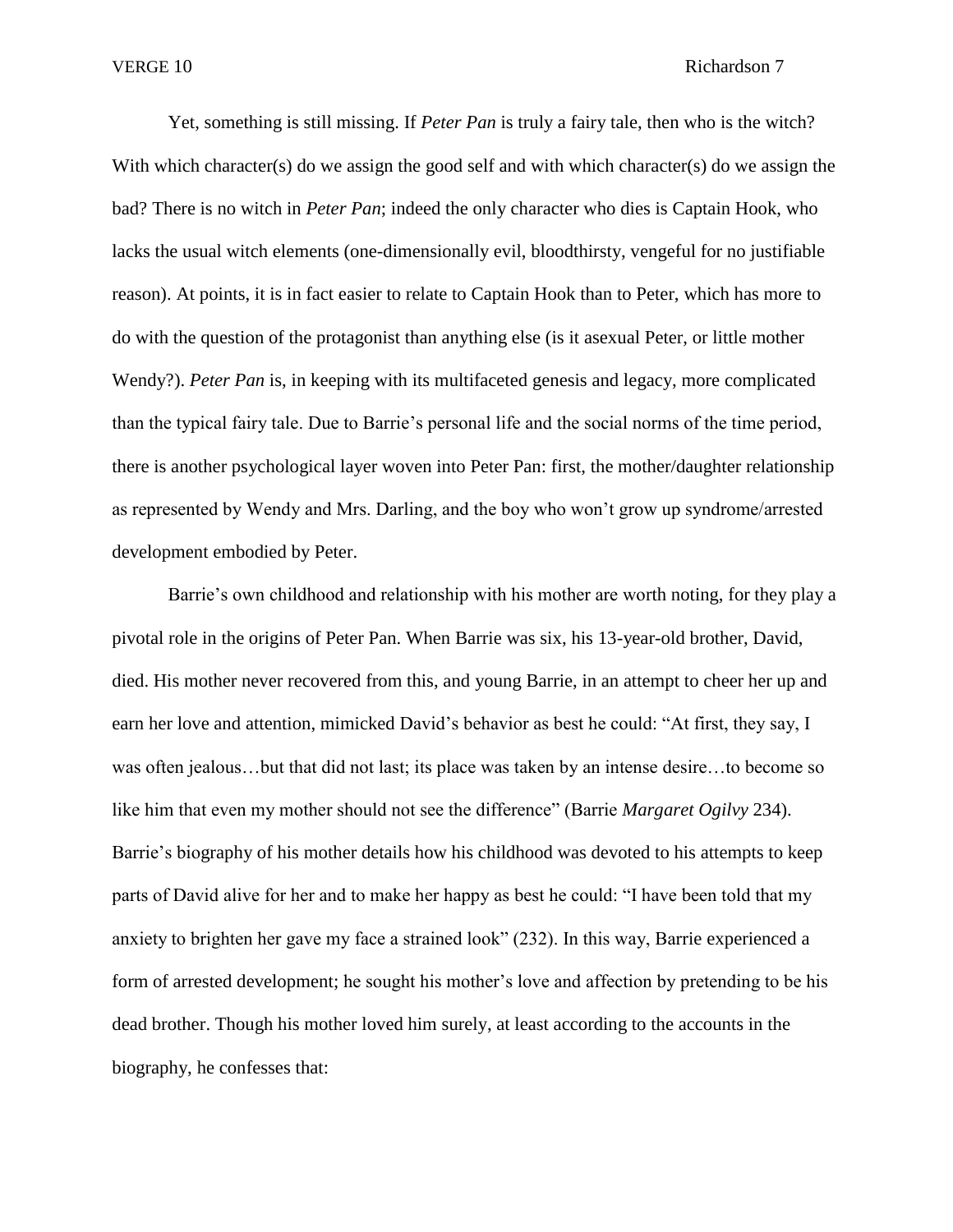Yet, something is still missing. If *Peter Pan* is truly a fairy tale, then who is the witch? With which character(s) do we assign the good self and with which character(s) do we assign the bad? There is no witch in *Peter Pan*; indeed the only character who dies is Captain Hook, who lacks the usual witch elements (one-dimensionally evil, bloodthirsty, vengeful for no justifiable reason). At points, it is in fact easier to relate to Captain Hook than to Peter, which has more to do with the question of the protagonist than anything else (is it asexual Peter, or little mother Wendy?). *Peter Pan* is, in keeping with its multifaceted genesis and legacy, more complicated than the typical fairy tale. Due to Barrie's personal life and the social norms of the time period, there is another psychological layer woven into Peter Pan: first, the mother/daughter relationship as represented by Wendy and Mrs. Darling, and the boy who won't grow up syndrome/arrested development embodied by Peter.

Barrie's own childhood and relationship with his mother are worth noting, for they play a pivotal role in the origins of Peter Pan. When Barrie was six, his 13-year-old brother, David, died. His mother never recovered from this, and young Barrie, in an attempt to cheer her up and earn her love and attention, mimicked David's behavior as best he could: "At first, they say, I was often jealous...but that did not last; its place was taken by an intense desire...to become so like him that even my mother should not see the difference" (Barrie *Margaret Ogilvy* 234). Barrie's biography of his mother details how his childhood was devoted to his attempts to keep parts of David alive for her and to make her happy as best he could: "I have been told that my anxiety to brighten her gave my face a strained look" (232). In this way, Barrie experienced a form of arrested development; he sought his mother's love and affection by pretending to be his dead brother. Though his mother loved him surely, at least according to the accounts in the biography, he confesses that: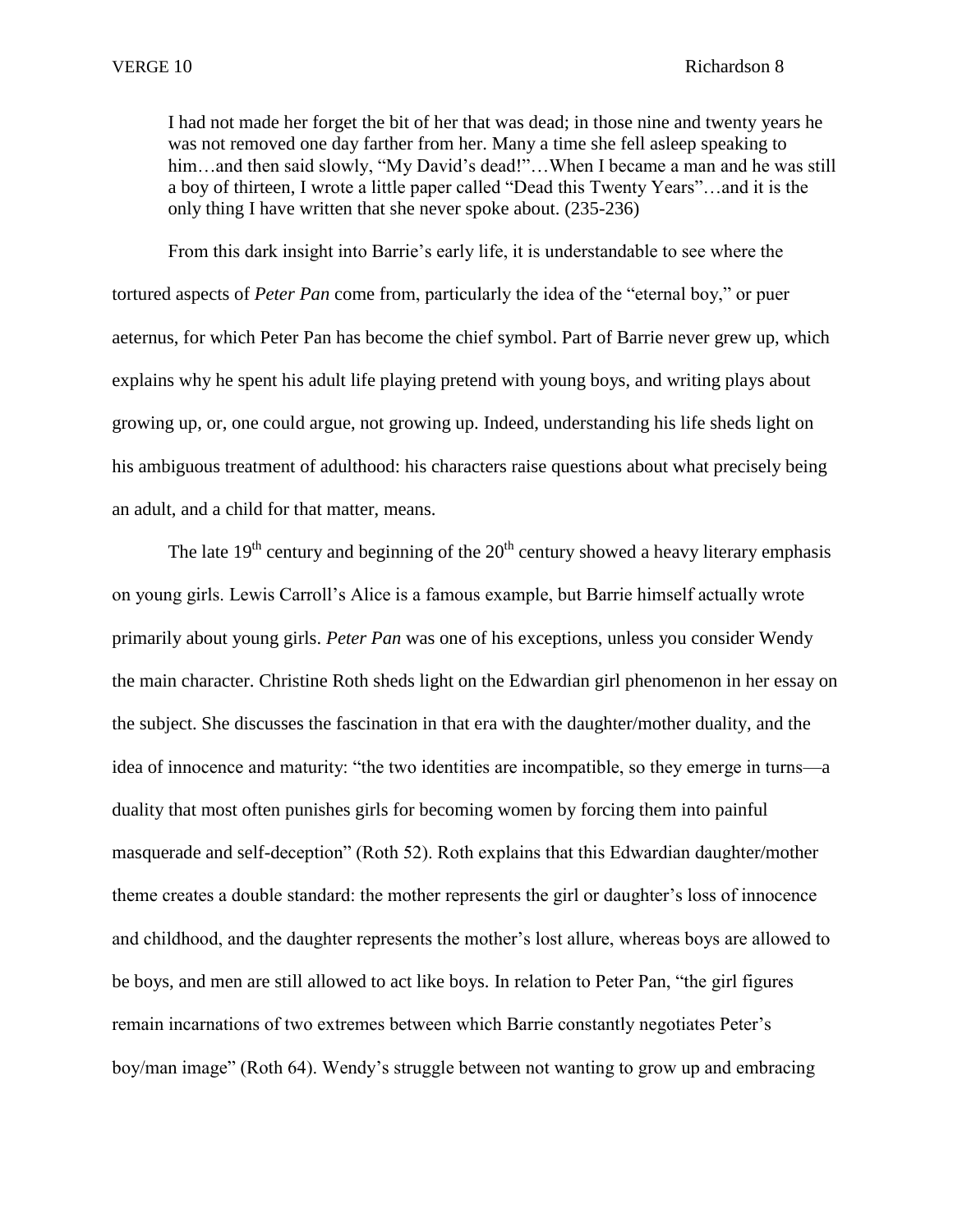I had not made her forget the bit of her that was dead; in those nine and twenty years he was not removed one day farther from her. Many a time she fell asleep speaking to him…and then said slowly, "My David's dead!"...When I became a man and he was still a boy of thirteen, I wrote a little paper called "Dead this Twenty Years"…and it is the only thing I have written that she never spoke about. (235-236)

From this dark insight into Barrie's early life, it is understandable to see where the tortured aspects of *Peter Pan* come from, particularly the idea of the "eternal boy," or puer aeternus, for which Peter Pan has become the chief symbol. Part of Barrie never grew up, which explains why he spent his adult life playing pretend with young boys, and writing plays about growing up, or, one could argue, not growing up. Indeed, understanding his life sheds light on his ambiguous treatment of adulthood: his characters raise questions about what precisely being an adult, and a child for that matter, means.

The late  $19<sup>th</sup>$  century and beginning of the  $20<sup>th</sup>$  century showed a heavy literary emphasis on young girls. Lewis Carroll's Alice is a famous example, but Barrie himself actually wrote primarily about young girls. *Peter Pan* was one of his exceptions, unless you consider Wendy the main character. Christine Roth sheds light on the Edwardian girl phenomenon in her essay on the subject. She discusses the fascination in that era with the daughter/mother duality, and the idea of innocence and maturity: "the two identities are incompatible, so they emerge in turns—a duality that most often punishes girls for becoming women by forcing them into painful masquerade and self-deception" (Roth 52). Roth explains that this Edwardian daughter/mother theme creates a double standard: the mother represents the girl or daughter's loss of innocence and childhood, and the daughter represents the mother's lost allure, whereas boys are allowed to be boys, and men are still allowed to act like boys. In relation to Peter Pan, "the girl figures remain incarnations of two extremes between which Barrie constantly negotiates Peter's boy/man image" (Roth 64). Wendy's struggle between not wanting to grow up and embracing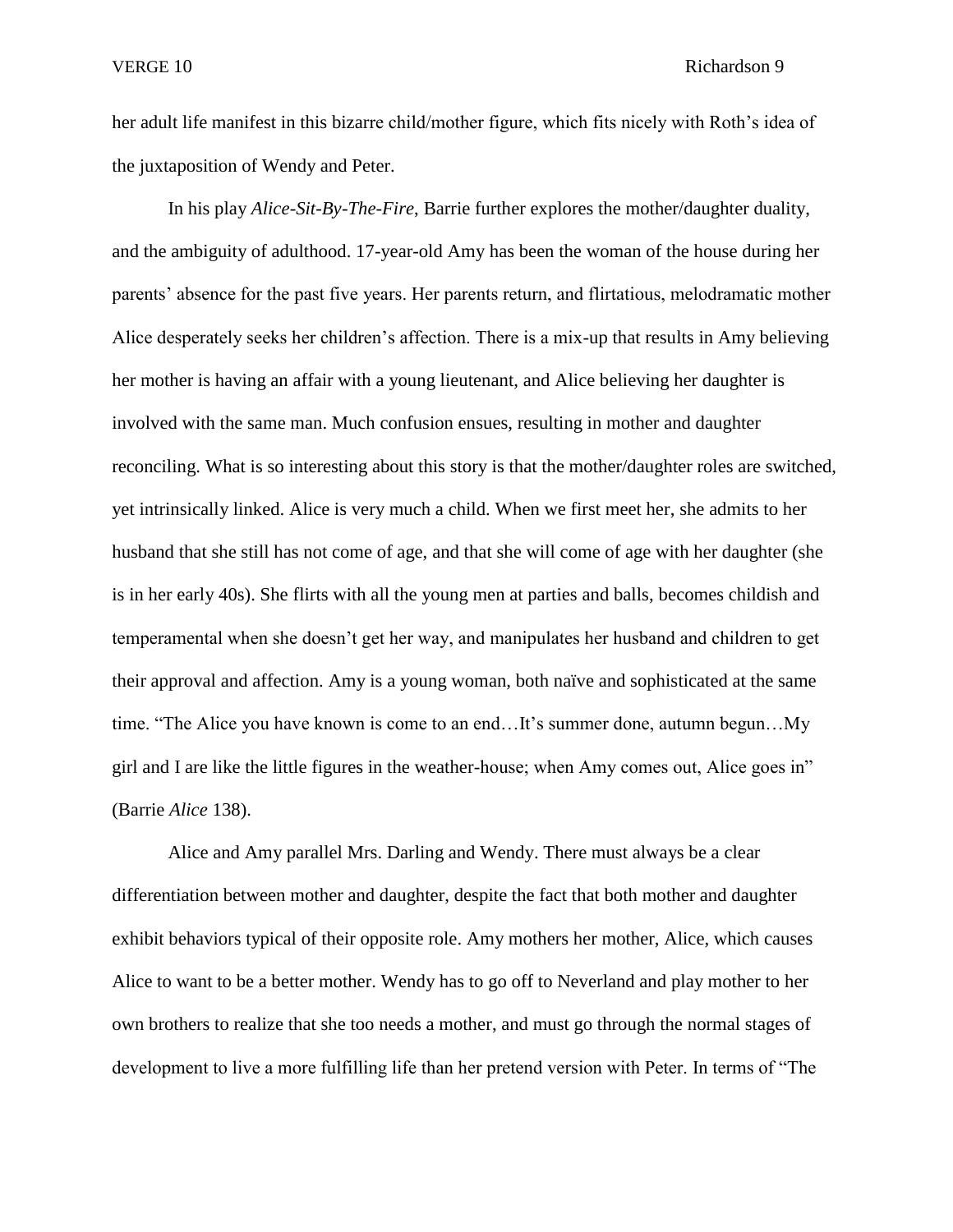her adult life manifest in this bizarre child/mother figure, which fits nicely with Roth's idea of the juxtaposition of Wendy and Peter.

In his play *Alice-Sit-By-The-Fire*, Barrie further explores the mother/daughter duality, and the ambiguity of adulthood. 17-year-old Amy has been the woman of the house during her parents' absence for the past five years. Her parents return, and flirtatious, melodramatic mother Alice desperately seeks her children's affection. There is a mix-up that results in Amy believing her mother is having an affair with a young lieutenant, and Alice believing her daughter is involved with the same man. Much confusion ensues, resulting in mother and daughter reconciling. What is so interesting about this story is that the mother/daughter roles are switched, yet intrinsically linked. Alice is very much a child. When we first meet her, she admits to her husband that she still has not come of age, and that she will come of age with her daughter (she is in her early 40s). She flirts with all the young men at parties and balls, becomes childish and temperamental when she doesn't get her way, and manipulates her husband and children to get their approval and affection. Amy is a young woman, both naïve and sophisticated at the same time. "The Alice you have known is come to an end…It's summer done, autumn begun…My girl and I are like the little figures in the weather-house; when Amy comes out, Alice goes in" (Barrie *Alice* 138).

Alice and Amy parallel Mrs. Darling and Wendy. There must always be a clear differentiation between mother and daughter, despite the fact that both mother and daughter exhibit behaviors typical of their opposite role. Amy mothers her mother, Alice, which causes Alice to want to be a better mother. Wendy has to go off to Neverland and play mother to her own brothers to realize that she too needs a mother, and must go through the normal stages of development to live a more fulfilling life than her pretend version with Peter. In terms of "The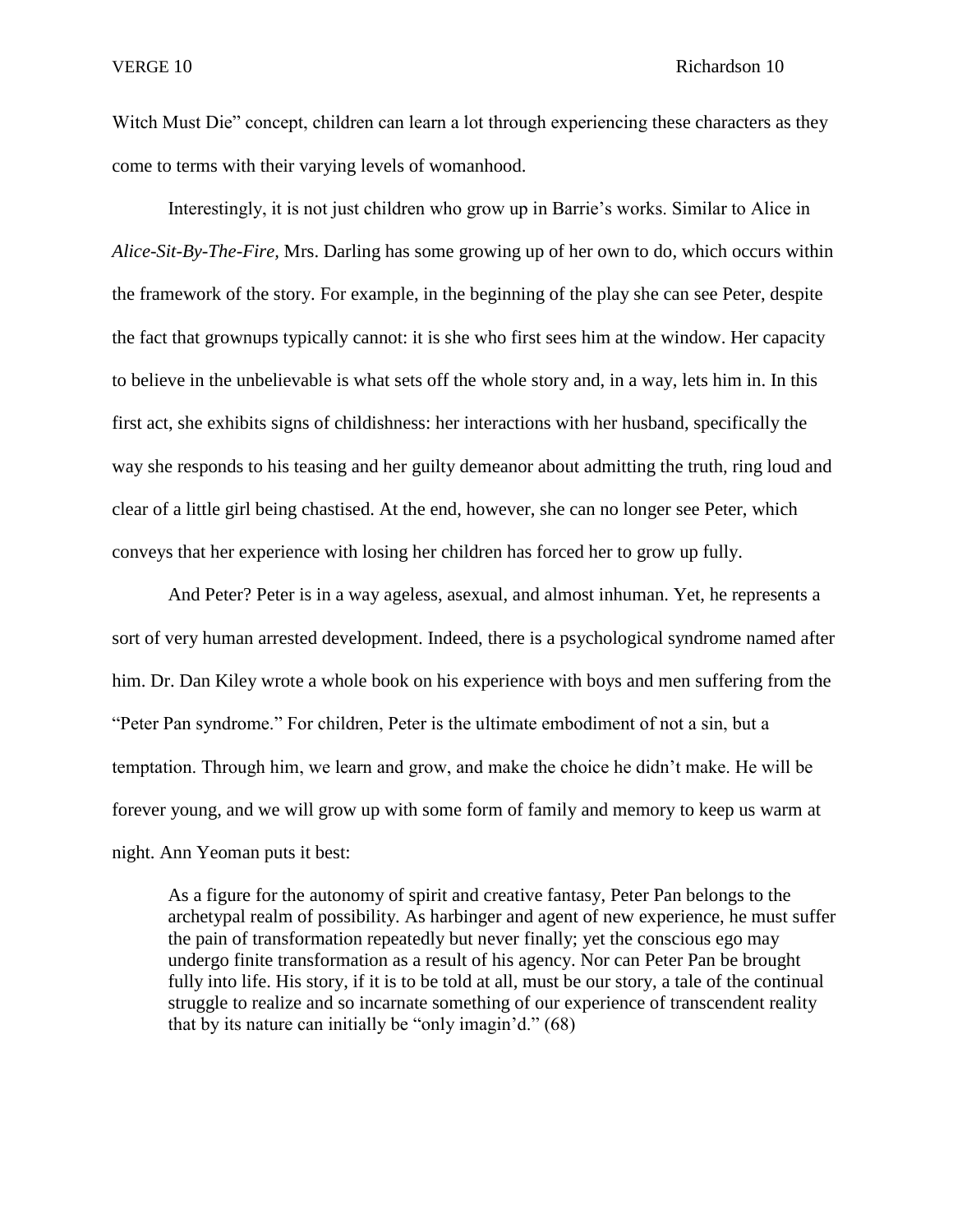Witch Must Die" concept, children can learn a lot through experiencing these characters as they come to terms with their varying levels of womanhood.

Interestingly, it is not just children who grow up in Barrie's works. Similar to Alice in *Alice-Sit-By-The-Fire,* Mrs. Darling has some growing up of her own to do, which occurs within the framework of the story. For example, in the beginning of the play she can see Peter, despite the fact that grownups typically cannot: it is she who first sees him at the window. Her capacity to believe in the unbelievable is what sets off the whole story and, in a way, lets him in. In this first act, she exhibits signs of childishness: her interactions with her husband, specifically the way she responds to his teasing and her guilty demeanor about admitting the truth, ring loud and clear of a little girl being chastised. At the end, however, she can no longer see Peter, which conveys that her experience with losing her children has forced her to grow up fully.

And Peter? Peter is in a way ageless, asexual, and almost inhuman. Yet, he represents a sort of very human arrested development. Indeed, there is a psychological syndrome named after him. Dr. Dan Kiley wrote a whole book on his experience with boys and men suffering from the "Peter Pan syndrome." For children, Peter is the ultimate embodiment of not a sin, but a temptation. Through him, we learn and grow, and make the choice he didn't make. He will be forever young, and we will grow up with some form of family and memory to keep us warm at night. Ann Yeoman puts it best:

As a figure for the autonomy of spirit and creative fantasy, Peter Pan belongs to the archetypal realm of possibility. As harbinger and agent of new experience, he must suffer the pain of transformation repeatedly but never finally; yet the conscious ego may undergo finite transformation as a result of his agency. Nor can Peter Pan be brought fully into life. His story, if it is to be told at all, must be our story, a tale of the continual struggle to realize and so incarnate something of our experience of transcendent reality that by its nature can initially be "only imagin'd." (68)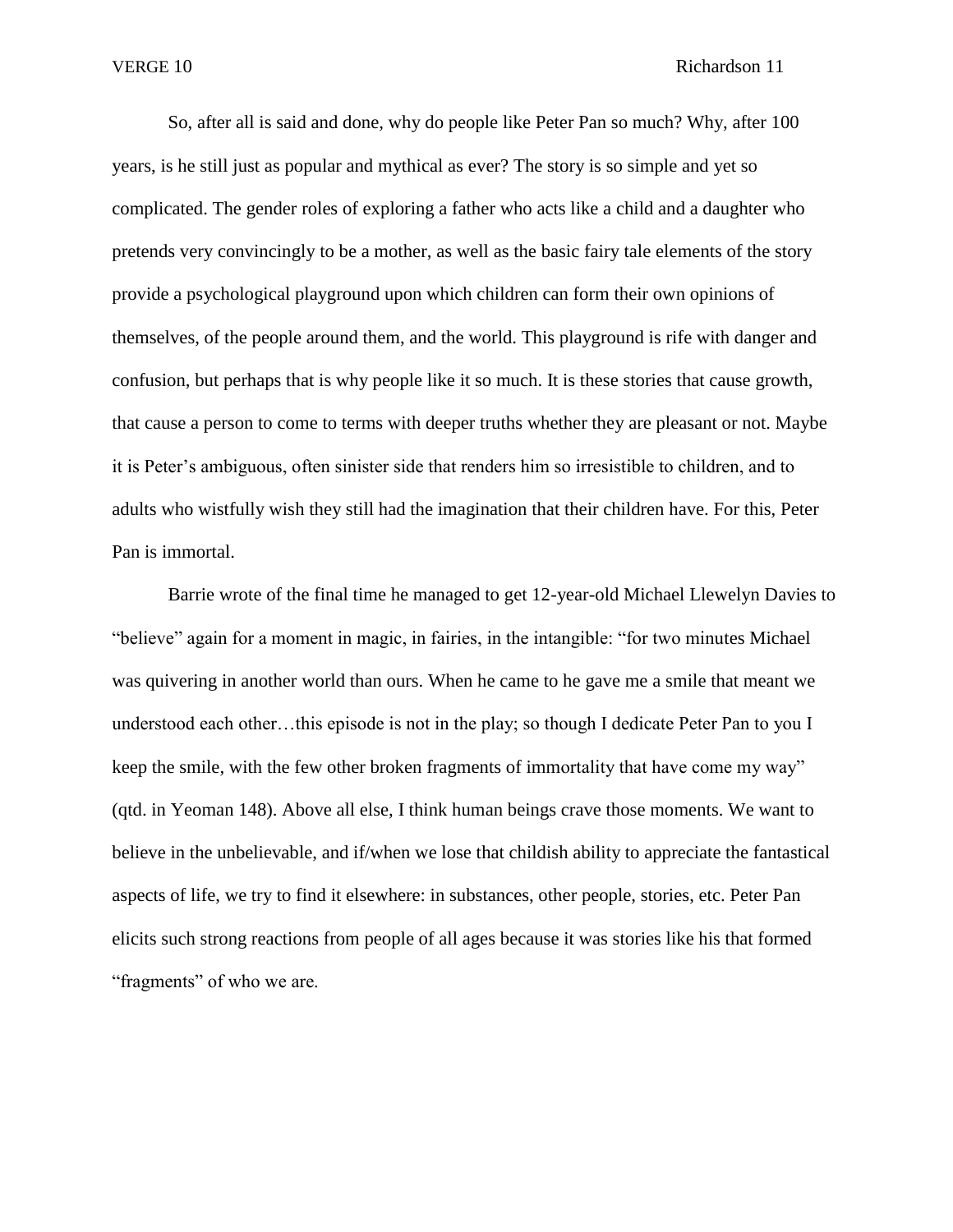So, after all is said and done, why do people like Peter Pan so much? Why, after 100 years, is he still just as popular and mythical as ever? The story is so simple and yet so complicated. The gender roles of exploring a father who acts like a child and a daughter who pretends very convincingly to be a mother, as well as the basic fairy tale elements of the story provide a psychological playground upon which children can form their own opinions of themselves, of the people around them, and the world. This playground is rife with danger and confusion, but perhaps that is why people like it so much. It is these stories that cause growth, that cause a person to come to terms with deeper truths whether they are pleasant or not. Maybe it is Peter's ambiguous, often sinister side that renders him so irresistible to children, and to adults who wistfully wish they still had the imagination that their children have. For this, Peter Pan is immortal.

Barrie wrote of the final time he managed to get 12-year-old Michael Llewelyn Davies to "believe" again for a moment in magic, in fairies, in the intangible: "for two minutes Michael was quivering in another world than ours. When he came to he gave me a smile that meant we understood each other…this episode is not in the play; so though I dedicate Peter Pan to you I keep the smile, with the few other broken fragments of immortality that have come my way" (qtd. in Yeoman 148). Above all else, I think human beings crave those moments. We want to believe in the unbelievable, and if/when we lose that childish ability to appreciate the fantastical aspects of life, we try to find it elsewhere: in substances, other people, stories, etc. Peter Pan elicits such strong reactions from people of all ages because it was stories like his that formed "fragments" of who we are.